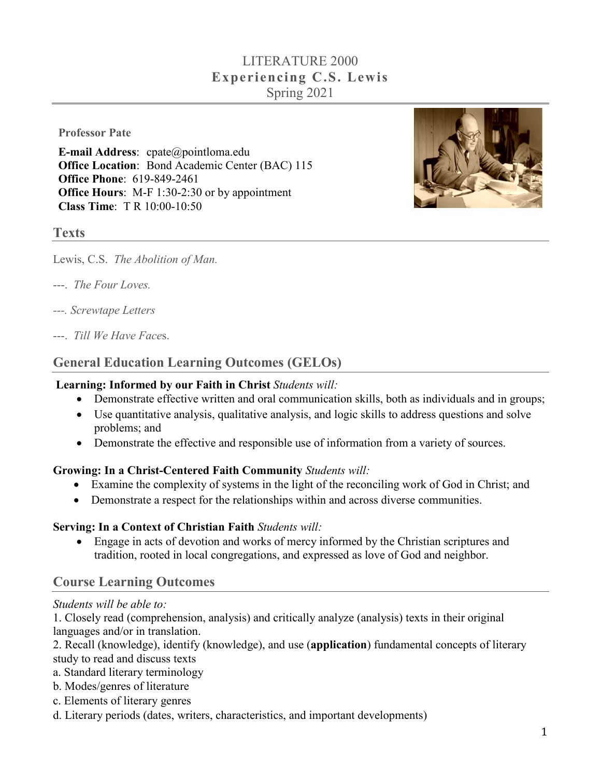# LITERATURE 2000 **Experiencing C.S. Lewis** Spring 2021

**Professor Pate**

**E-mail Address**: cpate@pointloma.edu **Office Location**: Bond Academic Center (BAC) 115 **Office Phone**: 619-849-2461 **Office Hours**: M-F 1:30-2:30 or by appointment **Class Time**: T R 10:00-10:50



#### **Texts**

Lewis, C.S. *The Abolition of Man.*

- ---. *The Four Loves.*
- *---. Screwtape Letters*
- ---. *Till We Have Face*s.

## **General Education Learning Outcomes (GELOs)**

#### **Learning: Informed by our Faith in Christ** *Students will:*

- Demonstrate effective written and oral communication skills, both as individuals and in groups;
- Use quantitative analysis, qualitative analysis, and logic skills to address questions and solve problems; and
- Demonstrate the effective and responsible use of information from a variety of sources.

#### **Growing: In a Christ-Centered Faith Community** *Students will:*

- Examine the complexity of systems in the light of the reconciling work of God in Christ; and
- Demonstrate a respect for the relationships within and across diverse communities.

#### **Serving: In a Context of Christian Faith** *Students will:*

• Engage in acts of devotion and works of mercy informed by the Christian scriptures and tradition, rooted in local congregations, and expressed as love of God and neighbor.

#### **Course Learning Outcomes**

#### *Students will be able to:*

1. Closely read (comprehension, analysis) and critically analyze (analysis) texts in their original languages and/or in translation.

2. Recall (knowledge), identify (knowledge), and use (**application**) fundamental concepts of literary study to read and discuss texts

- a. Standard literary terminology
- b. Modes/genres of literature
- c. Elements of literary genres
- d. Literary periods (dates, writers, characteristics, and important developments)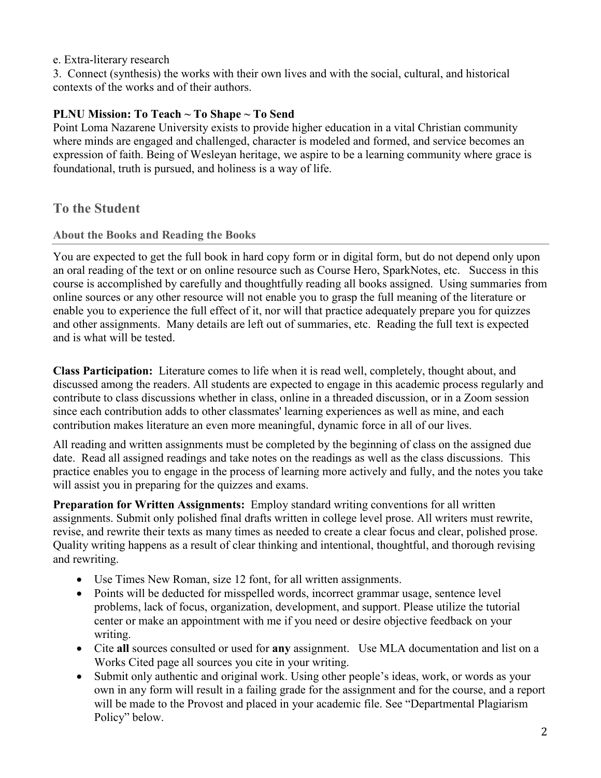e. Extra-literary research

3. Connect (synthesis) the works with their own lives and with the social, cultural, and historical contexts of the works and of their authors.

### **PLNU Mission: To Teach ~ To Shape ~ To Send**

Point Loma Nazarene University exists to provide higher education in a vital Christian community where minds are engaged and challenged, character is modeled and formed, and service becomes an expression of faith. Being of Wesleyan heritage, we aspire to be a learning community where grace is foundational, truth is pursued, and holiness is a way of life.

### **To the Student**

#### **About the Books and Reading the Books**

You are expected to get the full book in hard copy form or in digital form, but do not depend only upon an oral reading of the text or on online resource such as Course Hero, SparkNotes, etc. Success in this course is accomplished by carefully and thoughtfully reading all books assigned. Using summaries from online sources or any other resource will not enable you to grasp the full meaning of the literature or enable you to experience the full effect of it, nor will that practice adequately prepare you for quizzes and other assignments. Many details are left out of summaries, etc. Reading the full text is expected and is what will be tested.

**Class Participation:** Literature comes to life when it is read well, completely, thought about, and discussed among the readers. All students are expected to engage in this academic process regularly and contribute to class discussions whether in class, online in a threaded discussion, or in a Zoom session since each contribution adds to other classmates' learning experiences as well as mine, and each contribution makes literature an even more meaningful, dynamic force in all of our lives.

All reading and written assignments must be completed by the beginning of class on the assigned due date. Read all assigned readings and take notes on the readings as well as the class discussions. This practice enables you to engage in the process of learning more actively and fully, and the notes you take will assist you in preparing for the quizzes and exams.

**Preparation for Written Assignments:** Employ standard writing conventions for all written assignments. Submit only polished final drafts written in college level prose. All writers must rewrite, revise, and rewrite their texts as many times as needed to create a clear focus and clear, polished prose. Quality writing happens as a result of clear thinking and intentional, thoughtful, and thorough revising and rewriting.

- Use Times New Roman, size 12 font, for all written assignments.
- Points will be deducted for misspelled words, incorrect grammar usage, sentence level problems, lack of focus, organization, development, and support. Please utilize the tutorial center or make an appointment with me if you need or desire objective feedback on your writing.
- Cite **all** sources consulted or used for **any** assignment. Use MLA documentation and list on a Works Cited page all sources you cite in your writing.
- Submit only authentic and original work. Using other people's ideas, work, or words as your own in any form will result in a failing grade for the assignment and for the course, and a report will be made to the Provost and placed in your academic file. See "Departmental Plagiarism Policy" below.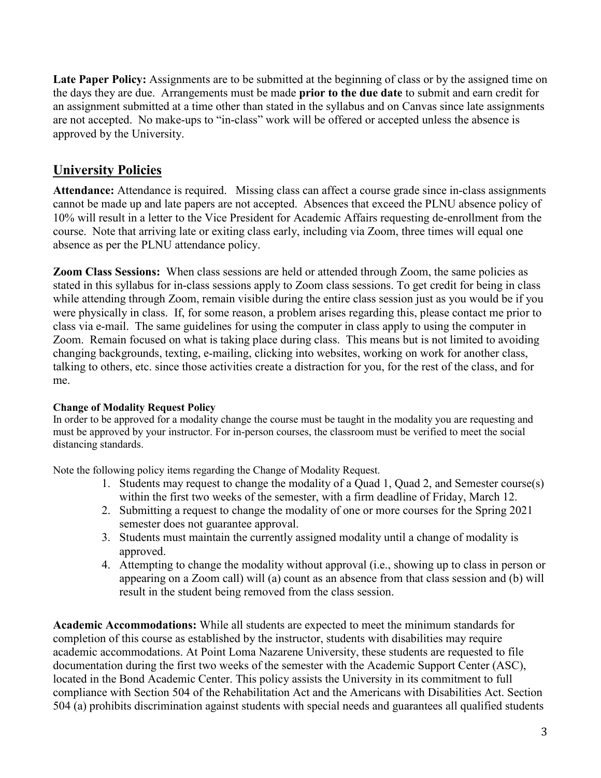Late Paper Policy: Assignments are to be submitted at the beginning of class or by the assigned time on the days they are due. Arrangements must be made **prior to the due date** to submit and earn credit for an assignment submitted at a time other than stated in the syllabus and on Canvas since late assignments are not accepted. No make-ups to "in-class" work will be offered or accepted unless the absence is approved by the University.

## **University Policies**

**Attendance:** Attendance is required. Missing class can affect a course grade since in-class assignments cannot be made up and late papers are not accepted. Absences that exceed the PLNU absence policy of 10% will result in a letter to the Vice President for Academic Affairs requesting de-enrollment from the course. Note that arriving late or exiting class early, including via Zoom, three times will equal one absence as per the PLNU attendance policy.

**Zoom Class Sessions:** When class sessions are held or attended through Zoom, the same policies as stated in this syllabus for in-class sessions apply to Zoom class sessions. To get credit for being in class while attending through Zoom, remain visible during the entire class session just as you would be if you were physically in class. If, for some reason, a problem arises regarding this, please contact me prior to class via e-mail. The same guidelines for using the computer in class apply to using the computer in Zoom. Remain focused on what is taking place during class. This means but is not limited to avoiding changing backgrounds, texting, e-mailing, clicking into websites, working on work for another class, talking to others, etc. since those activities create a distraction for you, for the rest of the class, and for me.

#### **Change of Modality Request Policy**

In order to be approved for a modality change the course must be taught in the modality you are requesting and must be approved by your instructor. For in-person courses, the classroom must be verified to meet the social distancing standards.

Note the following policy items regarding the Change of Modality Request.

- 1. Students may request to change the modality of a Quad 1, Quad 2, and Semester course(s) within the first two weeks of the semester, with a firm deadline of Friday, March 12.
- 2. Submitting a request to change the modality of one or more courses for the Spring 2021 semester does not guarantee approval.
- 3. Students must maintain the currently assigned modality until a change of modality is approved.
- 4. Attempting to change the modality without approval (i.e., showing up to class in person or appearing on a Zoom call) will (a) count as an absence from that class session and (b) will result in the student being removed from the class session.

**Academic Accommodations:** While all students are expected to meet the minimum standards for completion of this course as established by the instructor, students with disabilities may require academic accommodations. At Point Loma Nazarene University, these students are requested to file documentation during the first two weeks of the semester with the Academic Support Center (ASC), located in the Bond Academic Center. This policy assists the University in its commitment to full compliance with Section 504 of the Rehabilitation Act and the Americans with Disabilities Act. Section 504 (a) prohibits discrimination against students with special needs and guarantees all qualified students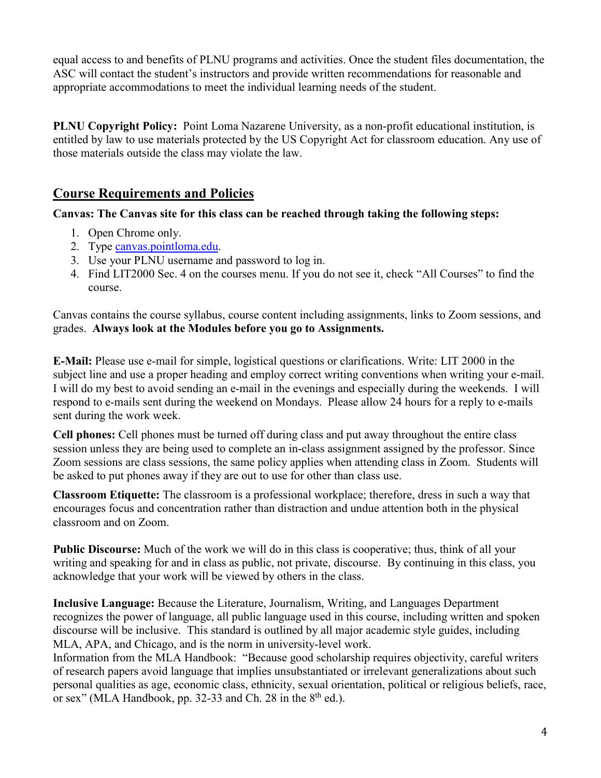equal access to and benefits of PLNU programs and activities. Once the student files documentation, the ASC will contact the student's instructors and provide written recommendations for reasonable and appropriate accommodations to meet the individual learning needs of the student.

**PLNU Copyright Policy:** Point Loma Nazarene University, as a non-profit educational institution, is entitled by law to use materials protected by the US Copyright Act for classroom education. Any use of those materials outside the class may violate the law.

## **Course Requirements and Policies**

**Canvas: The Canvas site for this class can be reached through taking the following steps:**

- 1. Open Chrome only.
- 2. Type [canvas.pointloma.edu.](http://canvas.pointloma.edu/)
- 3. Use your PLNU username and password to log in.
- 4. Find LIT2000 Sec. 4 on the courses menu. If you do not see it, check "All Courses" to find the course.

Canvas contains the course syllabus, course content including assignments, links to Zoom sessions, and grades. **Always look at the Modules before you go to Assignments.** 

**E-Mail:** Please use e-mail for simple, logistical questions or clarifications. Write: LIT 2000 in the subject line and use a proper heading and employ correct writing conventions when writing your e-mail. I will do my best to avoid sending an e-mail in the evenings and especially during the weekends. I will respond to e-mails sent during the weekend on Mondays. Please allow 24 hours for a reply to e-mails sent during the work week.

**Cell phones:** Cell phones must be turned off during class and put away throughout the entire class session unless they are being used to complete an in-class assignment assigned by the professor. Since Zoom sessions are class sessions, the same policy applies when attending class in Zoom. Students will be asked to put phones away if they are out to use for other than class use.

**Classroom Etiquette:** The classroom is a professional workplace; therefore, dress in such a way that encourages focus and concentration rather than distraction and undue attention both in the physical classroom and on Zoom.

**Public Discourse:** Much of the work we will do in this class is cooperative; thus, think of all your writing and speaking for and in class as public, not private, discourse. By continuing in this class, you acknowledge that your work will be viewed by others in the class.

**Inclusive Language:** Because the Literature, Journalism, Writing, and Languages Department recognizes the power of language, all public language used in this course, including written and spoken discourse will be inclusive. This standard is outlined by all major academic style guides, including MLA, APA, and Chicago, and is the norm in university-level work.

Information from the MLA Handbook: "Because good scholarship requires objectivity, careful writers of research papers avoid language that implies unsubstantiated or irrelevant generalizations about such personal qualities as age, economic class, ethnicity, sexual orientation, political or religious beliefs, race, or sex" (MLA Handbook, pp. 32-33 and Ch. 28 in the 8<sup>th</sup> ed.).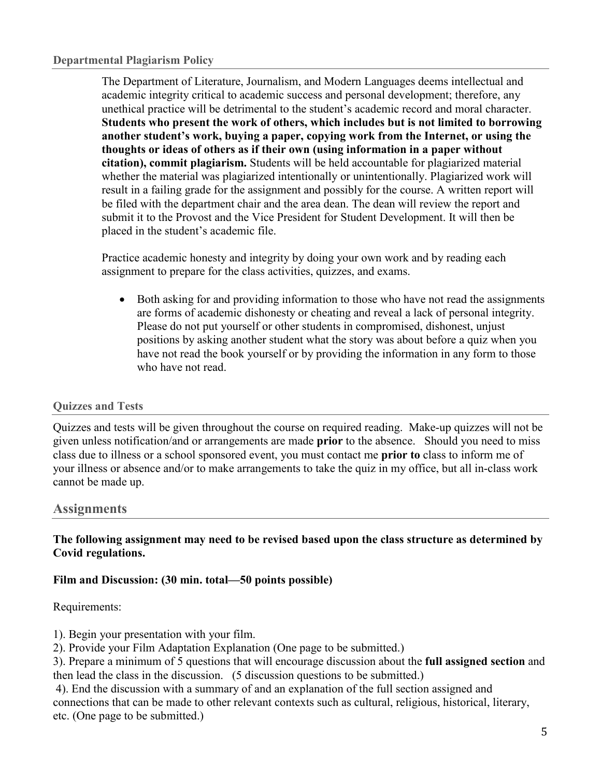The Department of Literature, Journalism, and Modern Languages deems intellectual and academic integrity critical to academic success and personal development; therefore, any unethical practice will be detrimental to the student's academic record and moral character. **Students who present the work of others, which includes but is not limited to borrowing another student's work, buying a paper, copying work from the Internet, or using the thoughts or ideas of others as if their own (using information in a paper without citation), commit plagiarism.** Students will be held accountable for plagiarized material whether the material was plagiarized intentionally or unintentionally. Plagiarized work will result in a failing grade for the assignment and possibly for the course. A written report will be filed with the department chair and the area dean. The dean will review the report and submit it to the Provost and the Vice President for Student Development. It will then be placed in the student's academic file.

Practice academic honesty and integrity by doing your own work and by reading each assignment to prepare for the class activities, quizzes, and exams.

• Both asking for and providing information to those who have not read the assignments are forms of academic dishonesty or cheating and reveal a lack of personal integrity. Please do not put yourself or other students in compromised, dishonest, unjust positions by asking another student what the story was about before a quiz when you have not read the book yourself or by providing the information in any form to those who have not read.

#### **Quizzes and Tests**

Quizzes and tests will be given throughout the course on required reading. Make-up quizzes will not be given unless notification/and or arrangements are made **prior** to the absence. Should you need to miss class due to illness or a school sponsored event, you must contact me **prior to** class to inform me of your illness or absence and/or to make arrangements to take the quiz in my office, but all in-class work cannot be made up.

#### **Assignments**

**The following assignment may need to be revised based upon the class structure as determined by Covid regulations.** 

#### **Film and Discussion: (30 min. total—50 points possible)**

#### Requirements:

- 1). Begin your presentation with your film.
- 2). Provide your Film Adaptation Explanation (One page to be submitted.)

3). Prepare a minimum of 5 questions that will encourage discussion about the **full assigned section** and then lead the class in the discussion. (5 discussion questions to be submitted.)

4). End the discussion with a summary of and an explanation of the full section assigned and connections that can be made to other relevant contexts such as cultural, religious, historical, literary, etc. (One page to be submitted.)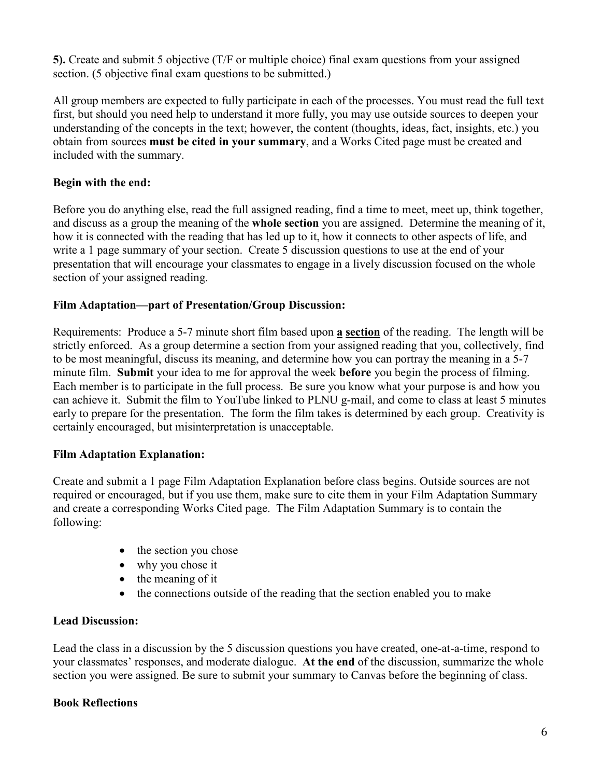**5).** Create and submit 5 objective (T/F or multiple choice) final exam questions from your assigned section. (5 objective final exam questions to be submitted.)

All group members are expected to fully participate in each of the processes. You must read the full text first, but should you need help to understand it more fully, you may use outside sources to deepen your understanding of the concepts in the text; however, the content (thoughts, ideas, fact, insights, etc.) you obtain from sources **must be cited in your summary**, and a Works Cited page must be created and included with the summary.

### **Begin with the end:**

Before you do anything else, read the full assigned reading, find a time to meet, meet up, think together, and discuss as a group the meaning of the **whole section** you are assigned. Determine the meaning of it, how it is connected with the reading that has led up to it, how it connects to other aspects of life, and write a 1 page summary of your section. Create 5 discussion questions to use at the end of your presentation that will encourage your classmates to engage in a lively discussion focused on the whole section of your assigned reading.

### **Film Adaptation—part of Presentation/Group Discussion:**

Requirements: Produce a 5-7 minute short film based upon **a section** of the reading. The length will be strictly enforced. As a group determine a section from your assigned reading that you, collectively, find to be most meaningful, discuss its meaning, and determine how you can portray the meaning in a 5-7 minute film. **Submit** your idea to me for approval the week **before** you begin the process of filming. Each member is to participate in the full process. Be sure you know what your purpose is and how you can achieve it. Submit the film to YouTube linked to PLNU g-mail, and come to class at least 5 minutes early to prepare for the presentation. The form the film takes is determined by each group. Creativity is certainly encouraged, but misinterpretation is unacceptable.

### **Film Adaptation Explanation:**

Create and submit a 1 page Film Adaptation Explanation before class begins. Outside sources are not required or encouraged, but if you use them, make sure to cite them in your Film Adaptation Summary and create a corresponding Works Cited page. The Film Adaptation Summary is to contain the following:

- the section you chose
- why you chose it
- the meaning of it
- the connections outside of the reading that the section enabled you to make

#### **Lead Discussion:**

Lead the class in a discussion by the 5 discussion questions you have created, one-at-a-time, respond to your classmates' responses, and moderate dialogue. **At the end** of the discussion, summarize the whole section you were assigned. Be sure to submit your summary to Canvas before the beginning of class.

#### **Book Reflections**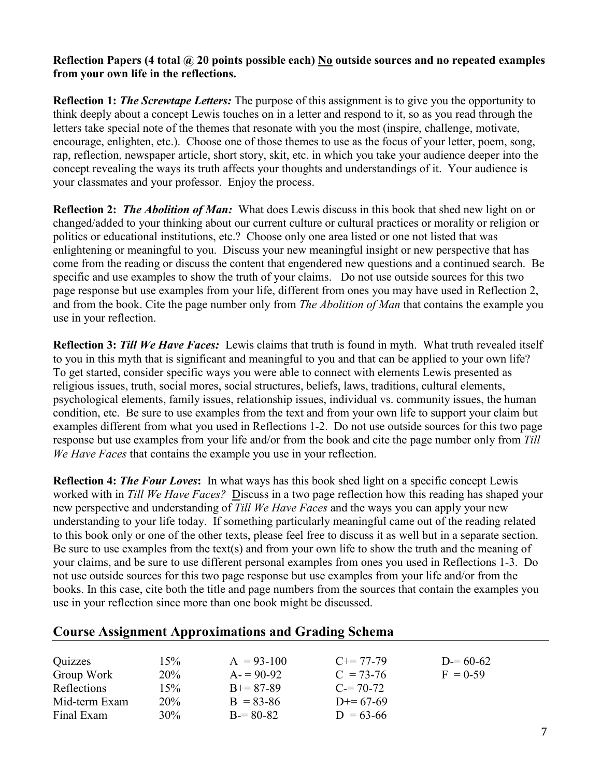#### **Reflection Papers (4 total @ 20 points possible each) No outside sources and no repeated examples from your own life in the reflections.**

**Reflection 1:** *The Screwtape Letters:* The purpose of this assignment is to give you the opportunity to think deeply about a concept Lewis touches on in a letter and respond to it, so as you read through the letters take special note of the themes that resonate with you the most (inspire, challenge, motivate, encourage, enlighten, etc.). Choose one of those themes to use as the focus of your letter, poem, song, rap, reflection, newspaper article, short story, skit, etc. in which you take your audience deeper into the concept revealing the ways its truth affects your thoughts and understandings of it. Your audience is your classmates and your professor. Enjoy the process.

**Reflection 2:** *The Abolition of Man:* What does Lewis discuss in this book that shed new light on or changed/added to your thinking about our current culture or cultural practices or morality or religion or politics or educational institutions, etc.? Choose only one area listed or one not listed that was enlightening or meaningful to you. Discuss your new meaningful insight or new perspective that has come from the reading or discuss the content that engendered new questions and a continued search. Be specific and use examples to show the truth of your claims. Do not use outside sources for this two page response but use examples from your life, different from ones you may have used in Reflection 2, and from the book. Cite the page number only from *The Abolition of Man* that contains the example you use in your reflection.

**Reflection 3:** *Till We Have Faces:* Lewis claims that truth is found in myth. What truth revealed itself to you in this myth that is significant and meaningful to you and that can be applied to your own life? To get started, consider specific ways you were able to connect with elements Lewis presented as religious issues, truth, social mores, social structures, beliefs, laws, traditions, cultural elements, psychological elements, family issues, relationship issues, individual vs. community issues, the human condition, etc. Be sure to use examples from the text and from your own life to support your claim but examples different from what you used in Reflections 1-2. Do not use outside sources for this two page response but use examples from your life and/or from the book and cite the page number only from *Till We Have Faces* that contains the example you use in your reflection.

**Reflection 4:** *The Four Loves***:** In what ways has this book shed light on a specific concept Lewis worked with in *Till We Have Faces?* Discuss in a two page reflection how this reading has shaped your new perspective and understanding of *Till We Have Faces* and the ways you can apply your new understanding to your life today. If something particularly meaningful came out of the reading related to this book only or one of the other texts, please feel free to discuss it as well but in a separate section. Be sure to use examples from the text(s) and from your own life to show the truth and the meaning of your claims, and be sure to use different personal examples from ones you used in Reflections 1-3. Do not use outside sources for this two page response but use examples from your life and/or from the books. In this case, cite both the title and page numbers from the sources that contain the examples you use in your reflection since more than one book might be discussed.

| Quizzes       | 15%        | $A = 93-100$  | $C+=77-79$  | $D = 60-62$ |
|---------------|------------|---------------|-------------|-------------|
| Group Work    | <b>20%</b> | $A = 90-92$   | $C = 73-76$ | $F = 0.59$  |
| Reflections   | 15%        | $B+=87-89$    | $C = 70-72$ |             |
| Mid-term Exam | 20%        | $B = 83 - 86$ | $D+= 67-69$ |             |
| Final Exam    | $30\%$     | $B = 80-82$   | $D = 63-66$ |             |

### **Course Assignment Approximations and Grading Schema**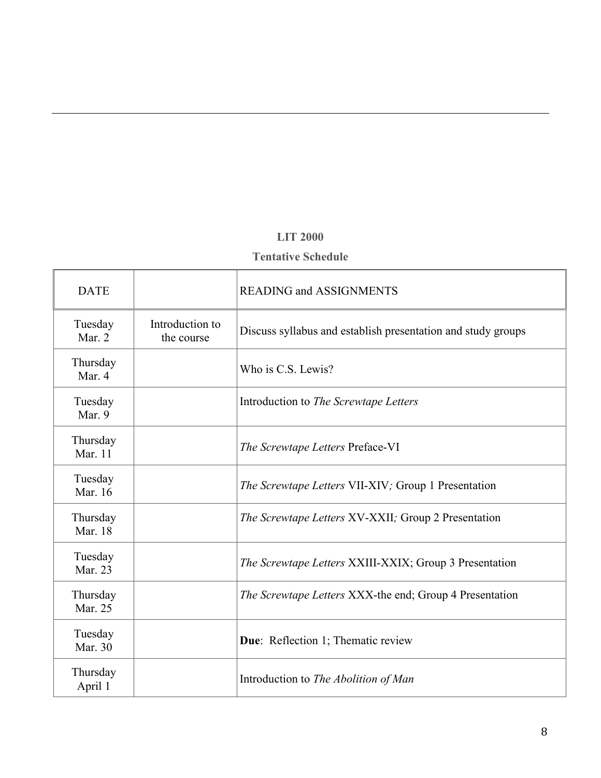### **LIT 2000**

### **Tentative Schedule**

| <b>DATE</b>         |                               | <b>READING and ASSIGNMENTS</b>                                 |
|---------------------|-------------------------------|----------------------------------------------------------------|
| Tuesday<br>Mar. 2   | Introduction to<br>the course | Discuss syllabus and establish presentation and study groups   |
| Thursday<br>Mar. 4  |                               | Who is C.S. Lewis?                                             |
| Tuesday<br>Mar. 9   |                               | Introduction to <i>The Screwtape Letters</i>                   |
| Thursday<br>Mar. 11 |                               | The Screwtape Letters Preface-VI                               |
| Tuesday<br>Mar. 16  |                               | <i>The Screwtape Letters VII-XIV; Group 1 Presentation</i>     |
| Thursday<br>Mar. 18 |                               | <i>The Screwtape Letters XV-XXII; Group 2 Presentation</i>     |
| Tuesday<br>Mar. 23  |                               | <i>The Screwtape Letters XXIII-XXIX; Group 3 Presentation</i>  |
| Thursday<br>Mar. 25 |                               | <i>The Screwtape Letters XXX-the end; Group 4 Presentation</i> |
| Tuesday<br>Mar. 30  |                               | Due: Reflection 1; Thematic review                             |
| Thursday<br>April 1 |                               | Introduction to <i>The Abolition of Man</i>                    |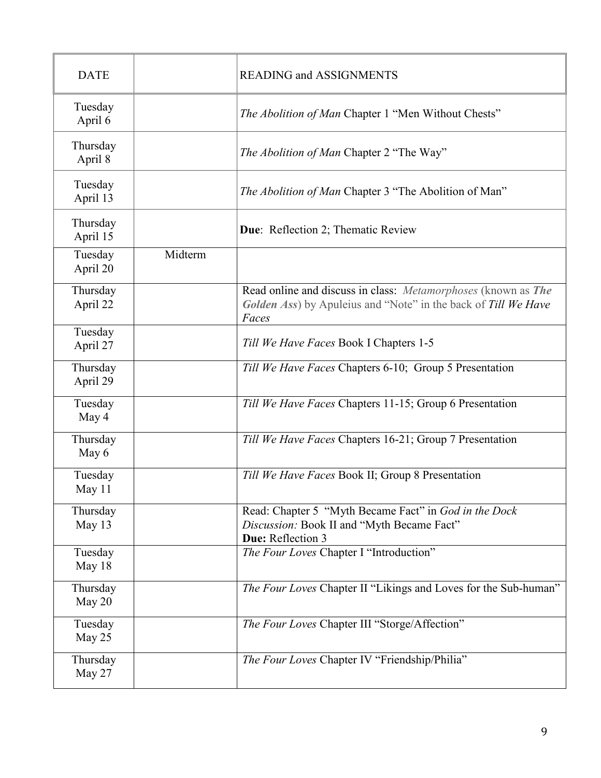| <b>DATE</b>          |         | <b>READING and ASSIGNMENTS</b>                                                                                                           |  |
|----------------------|---------|------------------------------------------------------------------------------------------------------------------------------------------|--|
| Tuesday<br>April 6   |         | The Abolition of Man Chapter 1 "Men Without Chests"                                                                                      |  |
| Thursday<br>April 8  |         | The Abolition of Man Chapter 2 "The Way"                                                                                                 |  |
| Tuesday<br>April 13  |         | The Abolition of Man Chapter 3 "The Abolition of Man"                                                                                    |  |
| Thursday<br>April 15 |         | <b>Due:</b> Reflection 2; Thematic Review                                                                                                |  |
| Tuesday<br>April 20  | Midterm |                                                                                                                                          |  |
| Thursday<br>April 22 |         | Read online and discuss in class: Metamorphoses (known as The<br>Golden Ass) by Apuleius and "Note" in the back of Till We Have<br>Faces |  |
| Tuesday<br>April 27  |         | Till We Have Faces Book I Chapters 1-5                                                                                                   |  |
| Thursday<br>April 29 |         | Till We Have Faces Chapters 6-10; Group 5 Presentation                                                                                   |  |
| Tuesday<br>May 4     |         | Till We Have Faces Chapters 11-15; Group 6 Presentation                                                                                  |  |
| Thursday<br>May 6    |         | Till We Have Faces Chapters 16-21; Group 7 Presentation                                                                                  |  |
| Tuesday<br>May 11    |         | Till We Have Faces Book II; Group 8 Presentation                                                                                         |  |
| Thursday<br>May 13   |         | Read: Chapter 5 "Myth Became Fact" in God in the Dock<br>Discussion: Book II and "Myth Became Fact"<br>Due: Reflection 3                 |  |
| Tuesday<br>May 18    |         | The Four Loves Chapter I "Introduction"                                                                                                  |  |
| Thursday<br>May 20   |         | The Four Loves Chapter II "Likings and Loves for the Sub-human"                                                                          |  |
| Tuesday<br>May 25    |         | The Four Loves Chapter III "Storge/Affection"                                                                                            |  |
| Thursday<br>May 27   |         | The Four Loves Chapter IV "Friendship/Philia"                                                                                            |  |